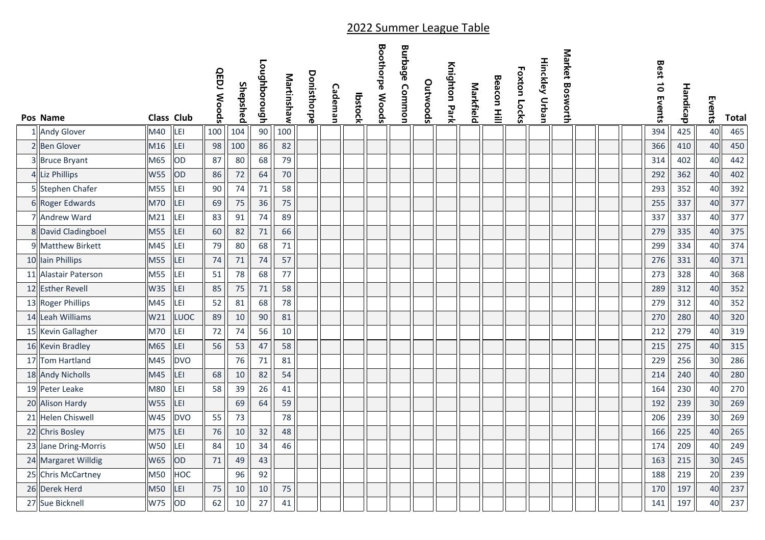| Pos Name             | <b>Class Club</b> |             | <b>QEDJ Woods</b> | Shepshed | Loughborough | Martinshaw | Donisthorpe | Cademan | <b>Ibstock</b> | <b>Boothorpe Woods</b> | <b>Burbage Common</b> | Outwoods | Knighton Park | Markfield | <b>Beacon Hill</b> | <b>Foxton Locks</b> | <b>Hinckley Urban</b> | Market Bosworth |  | Best 10 Events | Handicap | Events | Total |
|----------------------|-------------------|-------------|-------------------|----------|--------------|------------|-------------|---------|----------------|------------------------|-----------------------|----------|---------------|-----------|--------------------|---------------------|-----------------------|-----------------|--|----------------|----------|--------|-------|
| 1 Andy Glover        | M40               | LEI         | 100               | 104      | $90\,$       | 100        |             |         |                |                        |                       |          |               |           |                    |                     |                       |                 |  | 394            | 425      | 40     | 465   |
| 2 Ben Glover         | M16               | LEI         | 98                | 100      | 86           | 82         |             |         |                |                        |                       |          |               |           |                    |                     |                       |                 |  | 366            | 410      | 40     | 450   |
| 3 Bruce Bryant       | M65               | OD          | 87                | 80       | 68           | 79         |             |         |                |                        |                       |          |               |           |                    |                     |                       |                 |  | 314            | 402      | 40     | 442   |
| 4 Liz Phillips       | <b>W55</b>        | OD          | 86                | 72       | 64           | 70         |             |         |                |                        |                       |          |               |           |                    |                     |                       |                 |  | 292            | 362      | 40     | 402   |
| 5 Stephen Chafer     | M55               | LEI         | 90                | 74       | $71\,$       | 58         |             |         |                |                        |                       |          |               |           |                    |                     |                       |                 |  | 293            | 352      | 40     | 392   |
| 6 Roger Edwards      | <b>M70</b>        | LEI         | 69                | 75       | 36           | 75         |             |         |                |                        |                       |          |               |           |                    |                     |                       |                 |  | 255            | 337      | 40     | 377   |
| 7 Andrew Ward        | M21               | LEI         | 83                | 91       | 74           | 89         |             |         |                |                        |                       |          |               |           |                    |                     |                       |                 |  | 337            | 337      | 40     | 377   |
| 8 David Cladingboel  | M55               | LEI         | 60                | 82       | 71           | 66         |             |         |                |                        |                       |          |               |           |                    |                     |                       |                 |  | 279            | 335      | 40     | 375   |
| 9 Matthew Birkett    | M45               | LEI         | 79                | 80       | 68           | 71         |             |         |                |                        |                       |          |               |           |                    |                     |                       |                 |  | 299            | 334      | 40     | 374   |
| 10 Iain Phillips     | M55               | LEI         | 74                | $71\,$   | 74           | 57         |             |         |                |                        |                       |          |               |           |                    |                     |                       |                 |  | 276            | 331      | 40     | 371   |
| 11 Alastair Paterson | M55               | LEI         | 51                | 78       | 68           | 77         |             |         |                |                        |                       |          |               |           |                    |                     |                       |                 |  | 273            | 328      | 40     | 368   |
| 12 Esther Revell     | W35               | LEI         | 85                | 75       | $71\,$       | 58         |             |         |                |                        |                       |          |               |           |                    |                     |                       |                 |  | 289            | 312      | 40     | 352   |
| 13 Roger Phillips    | M45               | LEI         | 52                | 81       | 68           | 78         |             |         |                |                        |                       |          |               |           |                    |                     |                       |                 |  | 279            | 312      | 40     | 352   |
| 14 Leah Williams     | W21               | <b>LUOC</b> | 89                | $10\,$   | 90           | 81         |             |         |                |                        |                       |          |               |           |                    |                     |                       |                 |  | 270            | 280      | 40     | 320   |
| 15 Kevin Gallagher   | M70               | LEI         | 72                | 74       | 56           | 10         |             |         |                |                        |                       |          |               |           |                    |                     |                       |                 |  | 212            | 279      | 40     | 319   |
| 16 Kevin Bradley     | M65               | LEI         | 56                | 53       | 47           | 58         |             |         |                |                        |                       |          |               |           |                    |                     |                       |                 |  | 215            | 275      | 40     | 315   |
| 17 Tom Hartland      | M45               | <b>DVO</b>  |                   | 76       | 71           | 81         |             |         |                |                        |                       |          |               |           |                    |                     |                       |                 |  | 229            | 256      | 30     | 286   |
| 18 Andy Nicholls     | M45               | LEI         | 68                | $10\,$   | 82           | 54         |             |         |                |                        |                       |          |               |           |                    |                     |                       |                 |  | 214            | 240      | 40     | 280   |
| 19 Peter Leake       | M80               | LEI         | 58                | 39       | 26           | 41         |             |         |                |                        |                       |          |               |           |                    |                     |                       |                 |  | 164            | 230      | 40     | 270   |
| 20 Alison Hardy      | <b>W55</b>        | LEI         |                   | 69       | 64           | 59         |             |         |                |                        |                       |          |               |           |                    |                     |                       |                 |  | 192            | 239      | 30     | 269   |
| 21 Helen Chiswell    | W45               | <b>DVO</b>  | 55                | 73       |              | 78         |             |         |                |                        |                       |          |               |           |                    |                     |                       |                 |  | 206            | 239      | 30     | 269   |
| 22 Chris Bosley      | M75               | LEI         | 76                | 10       | 32           | 48         |             |         |                |                        |                       |          |               |           |                    |                     |                       |                 |  | 166            | 225      | 40     | 265   |
| 23 Jane Dring-Morris | <b>W50</b>        | LEI         | 84                | 10       | 34           | 46         |             |         |                |                        |                       |          |               |           |                    |                     |                       |                 |  | 174            | 209      | 40     | 249   |
| 24 Margaret Willdig  | W65               | OD          | 71                | 49       | 43           |            |             |         |                |                        |                       |          |               |           |                    |                     |                       |                 |  | 163            | 215      | 30     | 245   |
| 25 Chris McCartney   | M50               | HOC         |                   | 96       | 92           |            |             |         |                |                        |                       |          |               |           |                    |                     |                       |                 |  | 188            | 219      | 20     | 239   |
| 26 Derek Herd        | M50               | LEI         | 75                | 10       | 10           | 75         |             |         |                |                        |                       |          |               |           |                    |                     |                       |                 |  | 170            | 197      | 40     | 237   |
| 27 Sue Bicknell      | W75               | OD          | 62                | 10       | 27           | 41         |             |         |                |                        |                       |          |               |           |                    |                     |                       |                 |  | 141            | 197      | 40     | 237   |

## 2022 Summer League Table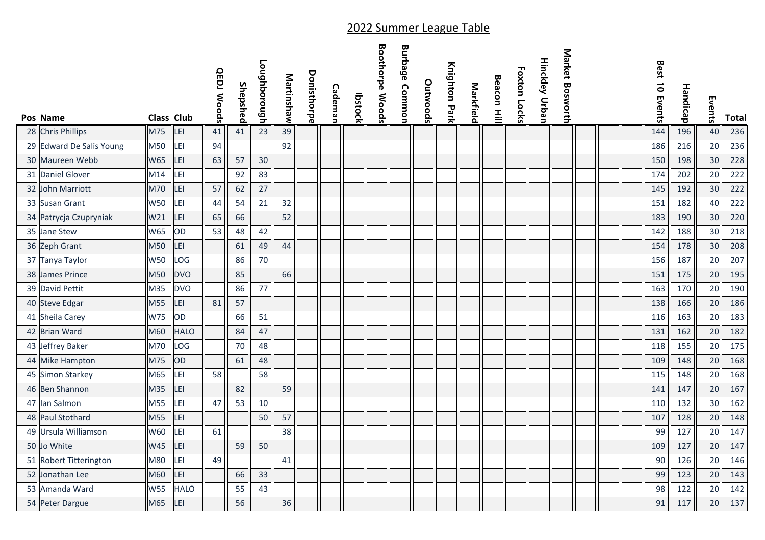|    | Pos Name                 | <b>Class Club</b> |             | <b>QEDJ Woods</b> | Shepshed | <b>Loughborough</b> | Martinshaw | Donisthorpe | Cademan | <b>Ibstock</b> | <b>Boothorpe Woods</b> | <b>Burbage Common</b> | Outwoods | Knighton Park | Markfield | <b>Beacon Hill</b> | <b>Foxton Locks</b> | Hinckley Urban | Market Bosworth |  | Best 10 Events | Handicap | Events | <b>Total</b> |
|----|--------------------------|-------------------|-------------|-------------------|----------|---------------------|------------|-------------|---------|----------------|------------------------|-----------------------|----------|---------------|-----------|--------------------|---------------------|----------------|-----------------|--|----------------|----------|--------|--------------|
|    | 28 Chris Phillips        | M75               | LEI         | 41                | 41       | 23                  | 39         |             |         |                |                        |                       |          |               |           |                    |                     |                |                 |  | 144            | 196      | 40     | 236          |
|    | 29 Edward De Salis Young | M50               | LEI         | 94                |          |                     | 92         |             |         |                |                        |                       |          |               |           |                    |                     |                |                 |  | 186            | 216      | 20     | 236          |
|    | 30 Maureen Webb          | W65               | LEI         | 63                | 57       | 30                  |            |             |         |                |                        |                       |          |               |           |                    |                     |                |                 |  | 150            | 198      | 30     | 228          |
| 31 | Daniel Glover            | M14               | LEI         |                   | 92       | 83                  |            |             |         |                |                        |                       |          |               |           |                    |                     |                |                 |  | 174            | 202      | 20     | 222          |
| 32 | John Marriott            | M70               | LEI         | 57                | 62       | 27                  |            |             |         |                |                        |                       |          |               |           |                    |                     |                |                 |  | 145            | 192      | 30     | 222          |
|    | 33 Susan Grant           | <b>W50</b>        | LEI         | 44                | 54       | 21                  | 32         |             |         |                |                        |                       |          |               |           |                    |                     |                |                 |  | 151            | 182      | 40     | 222          |
|    | 34 Patrycja Czupryniak   | W21               | LEI         | 65                | 66       |                     | 52         |             |         |                |                        |                       |          |               |           |                    |                     |                |                 |  | 183            | 190      | 30     | 220          |
| 35 | Jane Stew                | W65               | OD          | 53                | 48       | 42                  |            |             |         |                |                        |                       |          |               |           |                    |                     |                |                 |  | 142            | 188      | 30     | 218          |
|    | 36 Zeph Grant            | M50               | LEI         |                   | 61       | 49                  | 44         |             |         |                |                        |                       |          |               |           |                    |                     |                |                 |  | 154            | 178      | 30     | 208          |
|    | 37 Tanya Taylor          | <b>W50</b>        | LOG         |                   | 86       | 70                  |            |             |         |                |                        |                       |          |               |           |                    |                     |                |                 |  | 156            | 187      | 20     | 207          |
|    | 38 James Prince          | M50               | <b>DVO</b>  |                   | 85       |                     | 66         |             |         |                |                        |                       |          |               |           |                    |                     |                |                 |  | 151            | 175      | 20     | 195          |
|    | 39 David Pettit          | M35               | <b>DVO</b>  |                   | 86       | 77                  |            |             |         |                |                        |                       |          |               |           |                    |                     |                |                 |  | 163            | 170      | 20     | 190          |
|    | 40 Steve Edgar           | M55               | LEI         | 81                | 57       |                     |            |             |         |                |                        |                       |          |               |           |                    |                     |                |                 |  | 138            | 166      | 20     | 186          |
|    | 41 Sheila Carey          | W75               | OD          |                   | 66       | 51                  |            |             |         |                |                        |                       |          |               |           |                    |                     |                |                 |  | 116            | 163      | 20     | 183          |
|    | 42 Brian Ward            | M60               | <b>HALO</b> |                   | 84       | 47                  |            |             |         |                |                        |                       |          |               |           |                    |                     |                |                 |  | 131            | 162      | 20     | 182          |
| 43 | Jeffrey Baker            | M70               | LOG         |                   | 70       | 48                  |            |             |         |                |                        |                       |          |               |           |                    |                     |                |                 |  | 118            | 155      | 20     | 175          |
|    | 44 Mike Hampton          | M75               | OD          |                   | 61       | 48                  |            |             |         |                |                        |                       |          |               |           |                    |                     |                |                 |  | 109            | 148      | 20     | 168          |
|    | 45 Simon Starkey         | M65               | LEI         | 58                |          | 58                  |            |             |         |                |                        |                       |          |               |           |                    |                     |                |                 |  | 115            | 148      | 20     | 168          |
|    | 46 Ben Shannon           | M35               | LEI         |                   | 82       |                     | 59         |             |         |                |                        |                       |          |               |           |                    |                     |                |                 |  | 141            | 147      | 20     | 167          |
| 47 | lan Salmon               | M55               | LEI         | 47                | 53       | 10                  |            |             |         |                |                        |                       |          |               |           |                    |                     |                |                 |  | 110            | 132      | 30     | 162          |
|    | 48 Paul Stothard         | M55               | LEI         |                   |          | 50                  | 57         |             |         |                |                        |                       |          |               |           |                    |                     |                |                 |  | 107            | 128      | 20     | 148          |
|    | 49 Ursula Williamson     | W60               | LEI         | 61                |          |                     | 38         |             |         |                |                        |                       |          |               |           |                    |                     |                |                 |  | 99             | 127      | 20     | 147          |
|    | 50 Jo White              | <b>W45</b>        | LEI         |                   | 59       | 50                  |            |             |         |                |                        |                       |          |               |           |                    |                     |                |                 |  | 109            | 127      | 20     | 147          |
|    | 51 Robert Titterington   | M80               | LEI         | 49                |          |                     | 41         |             |         |                |                        |                       |          |               |           |                    |                     |                |                 |  | 90             | 126      | 20     | 146          |
|    | 52 Jonathan Lee          | M60               | LEI         |                   | 66       | 33                  |            |             |         |                |                        |                       |          |               |           |                    |                     |                |                 |  | 99             | 123      | 20     | 143          |
|    | 53 Amanda Ward           | <b>W55</b>        | <b>HALO</b> |                   | 55       | 43                  |            |             |         |                |                        |                       |          |               |           |                    |                     |                |                 |  | 98             | 122      | 20     | 142          |
|    | 54 Peter Dargue          | M65               | LEI         |                   | 56       |                     | 36         |             |         |                |                        |                       |          |               |           |                    |                     |                |                 |  | 91             | 117      | 20     | 137          |

## 2022 Summer League Table